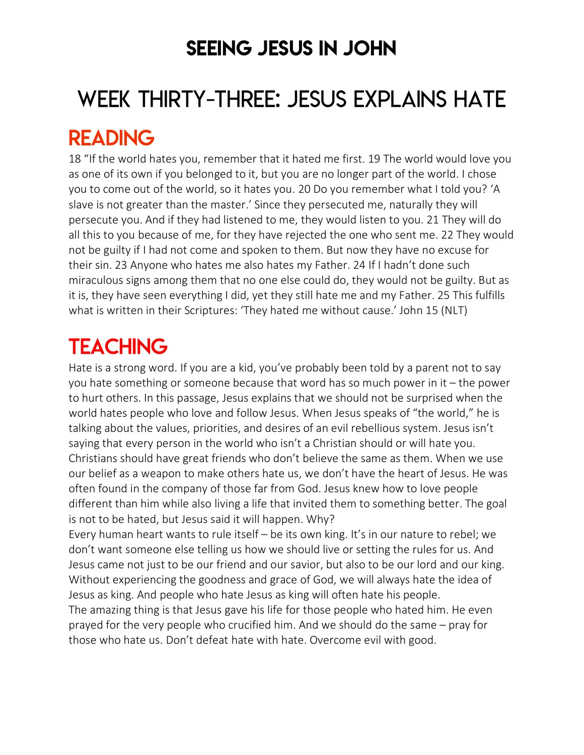### SEEING JESUS IN JOHN

# WEEK THIRTY-THREE: JESUS EXPLAINS HATE READING

18 "If the world hates you, remember that it hated me first. 19 The world would love you as one of its own if you belonged to it, but you are no longer part of the world. I chose you to come out of the world, so it hates you. 20 Do you remember what I told you? 'A slave is not greater than the master.' Since they persecuted me, naturally they will persecute you. And if they had listened to me, they would listen to you. 21 They will do all this to you because of me, for they have rejected the one who sent me. 22 They would not be guilty if I had not come and spoken to them. But now they have no excuse for their sin. 23 Anyone who hates me also hates my Father. 24 If I hadn't done such miraculous signs among them that no one else could do, they would not be guilty. But as it is, they have seen everything I did, yet they still hate me and my Father. 25 This fulfills what is written in their Scriptures: 'They hated me without cause.' John 15 (NLT)

# **TEACHING**

Hate is a strong word. If you are a kid, you've probably been told by a parent not to say you hate something or someone because that word has so much power in it – the power to hurt others. In this passage, Jesus explains that we should not be surprised when the world hates people who love and follow Jesus. When Jesus speaks of "the world," he is talking about the values, priorities, and desires of an evil rebellious system. Jesus isn't saying that every person in the world who isn't a Christian should or will hate you. Christians should have great friends who don't believe the same as them. When we use our belief as a weapon to make others hate us, we don't have the heart of Jesus. He was often found in the company of those far from God. Jesus knew how to love people different than him while also living a life that invited them to something better. The goal is not to be hated, but Jesus said it will happen. Why?

Every human heart wants to rule itself – be its own king. It's in our nature to rebel; we don't want someone else telling us how we should live or setting the rules for us. And Jesus came not just to be our friend and our savior, but also to be our lord and our king. Without experiencing the goodness and grace of God, we will always hate the idea of Jesus as king. And people who hate Jesus as king will often hate his people.

The amazing thing is that Jesus gave his life for those people who hated him. He even prayed for the very people who crucified him. And we should do the same – pray for those who hate us. Don't defeat hate with hate. Overcome evil with good.